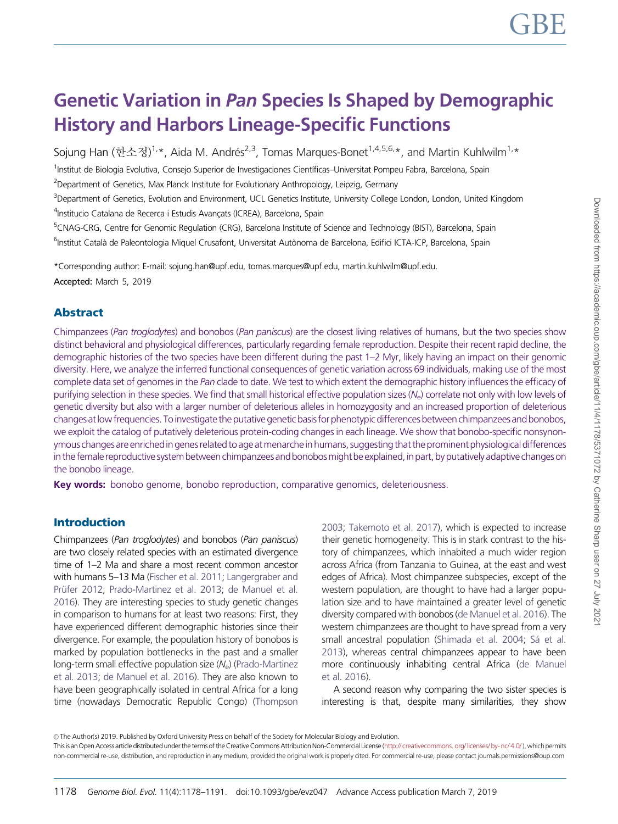# Genetic Variation in Pan Species Is Shaped by Demographic History and Harbors Lineage-Specific Functions

Sojung Han (한소정)<sup>1,</sup>\*, Aida M. Andrés<sup>2,3</sup>, Tomas Marques-Bonet<sup>1,4,5,6,</sup>\*, and Martin Kuhlwilm<sup>1,</sup>\*

<sup>1</sup>Institut de Biologia Evolutiva, Consejo Superior de Investigaciones Científicas–Universitat Pompeu Fabra, Barcelona, Spain

<sup>2</sup>Department of Genetics, Max Planck Institute for Evolutionary Anthropology, Leipzig, Germany

<sup>3</sup>Department of Genetics, Evolution and Environment, UCL Genetics Institute, University College London, London, United Kingdom <sup>4</sup>Institucio Catalana de Recerca i Estudis Avançats (ICREA), Barcelona, Spain

<sup>5</sup>CNAG-CRG, Centre for Genomic Regulation (CRG), Barcelona Institute of Science and Technology (BIST), Barcelona, Spain <sup>6</sup>Institut Català de Paleontologia Miquel Crusafont, Universitat Autònoma de Barcelona, Edifici ICTA-ICP, Barcelona, Spain

\*Corresponding author: E-mail: sojung.han@upf.edu, tomas.marques@upf.edu, martin.kuhlwilm@upf.edu.

Accepted: March 5, 2019

# Abstract

Chimpanzees (Pan troglodytes) and bonobos (Pan paniscus) are the closest living relatives of humans, but the two species show distinct behavioral and physiological differences, particularly regarding female reproduction. Despite their recent rapid decline, the demographic histories of the two species have been different during the past 1–2 Myr, likely having an impact on their genomic diversity. Here, we analyze the inferred functional consequences of genetic variation across 69 individuals, making use of the most complete data set of genomes in the Pan clade to date. We test to which extent the demographic history influences the efficacy of purifying selection in these species. We find that small historical effective population sizes (N<sub>e</sub>) correlate not only with low levels of genetic diversity but also with a larger number of deleterious alleles in homozygosity and an increased proportion of deleterious changes at low frequencies. To investigate the putative genetic basis for phenotypic differences between chimpanzees and bonobos, we exploit the catalog of putatively deleterious protein-coding changes in each lineage. We show that bonobo-specific nonsynonymous changes are enriched in genes related to age atmenarche in humans, suggesting that the prominent physiological differences in the female reproductive system between chimpanzees and bonobosmight be explained, in part, by putatively adaptive changes on the bonobo lineage.

Key words: bonobo genome, bonobo reproduction, comparative genomics, deleteriousness.

## Introduction

Chimpanzees (Pan troglodytes) and bonobos (Pan paniscus) are two closely related species with an estimated divergence time of 1–2 Ma and share a most recent common ancestor with humans 5–13 Ma [\(Fischer et al. 2011;](#page-11-0) [Langergraber and](#page-12-0) Prüfer 2012; [Prado-Martinez et al. 2013;](#page-12-0) [de Manuel et al.](#page-11-0) [2016](#page-11-0)). They are interesting species to study genetic changes in comparison to humans for at least two reasons: First, they have experienced different demographic histories since their divergence. For example, the population history of bonobos is marked by population bottlenecks in the past and a smaller  $long-term$  small effective population size  $(N_e)$  ([Prado-Martinez](#page-12-0) [et al. 2013](#page-12-0); [de Manuel et al. 2016](#page-11-0)). They are also known to have been geographically isolated in central Africa for a long time (nowadays Democratic Republic Congo) [\(Thompson](#page-13-0) [2003;](#page-13-0) [Takemoto et al. 2017\)](#page-12-0), which is expected to increase their genetic homogeneity. This is in stark contrast to the history of chimpanzees, which inhabited a much wider region across Africa (from Tanzania to Guinea, at the east and west edges of Africa). Most chimpanzee subspecies, except of the western population, are thought to have had a larger population size and to have maintained a greater level of genetic diversity compared with bonobos [\(de Manuel et al. 2016\)](#page-11-0). The western chimpanzees are thought to have spread from a very small ancestral population [\(Shimada et al. 2004;](#page-12-0) Sá et al. [2013\)](#page-12-0), whereas central chimpanzees appear to have been more continuously inhabiting central Africa [\(de Manuel](#page-11-0) [et al. 2016\)](#page-11-0).

A second reason why comparing the two sister species is interesting is that, despite many similarities, they show

© The Author(s) 2019. Published by Oxford University Press on behalf of the Society for Molecular Biology and Evolution.

This is an Open Access article distributed under the terms of the Creative Commons Attribution Non-Commercial License [\(http:// creativecommons. org/ licenses/ by- nc/ 4.0/](http://creativecommons.org/licenses/by-nc/4.0/)), which permits non-commercial re-use, distribution, and reproduction in any medium, provided the original work is properly cited. For commercial re-use, please contact journals.permissions@oup.com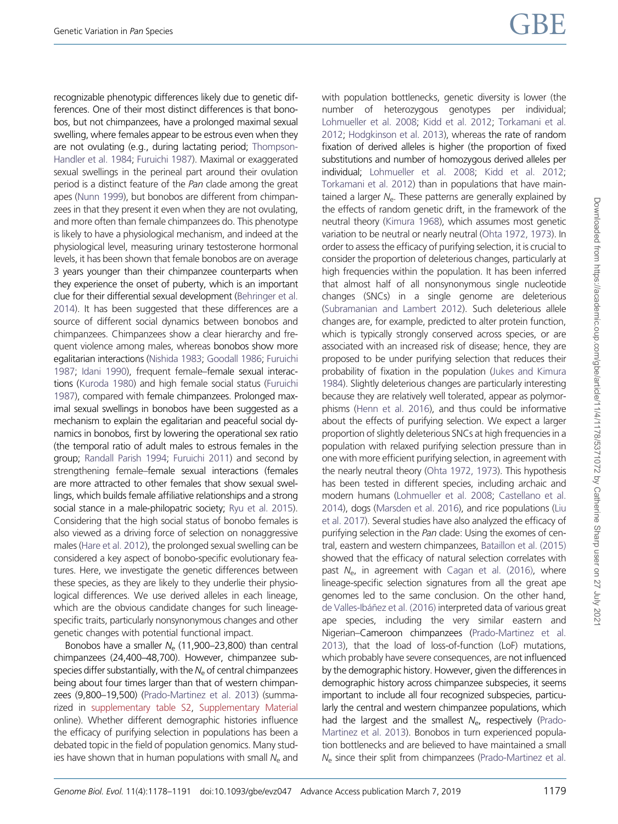recognizable phenotypic differences likely due to genetic differences. One of their most distinct differences is that bonobos, but not chimpanzees, have a prolonged maximal sexual swelling, where females appear to be estrous even when they are not ovulating (e.g., during lactating period; [Thompson-](#page-13-0)[Handler et al. 1984;](#page-13-0) [Furuichi 1987](#page-11-0)). Maximal or exaggerated sexual swellings in the perineal part around their ovulation period is a distinct feature of the Pan clade among the great apes ([Nunn 1999\)](#page-12-0), but bonobos are different from chimpanzees in that they present it even when they are not ovulating, and more often than female chimpanzees do. This phenotype is likely to have a physiological mechanism, and indeed at the physiological level, measuring urinary testosterone hormonal levels, it has been shown that female bonobos are on average 3 years younger than their chimpanzee counterparts when they experience the onset of puberty, which is an important clue for their differential sexual development ([Behringer et al.](#page-11-0) [2014](#page-11-0)). It has been suggested that these differences are a source of different social dynamics between bonobos and chimpanzees. Chimpanzees show a clear hierarchy and frequent violence among males, whereas bonobos show more egalitarian interactions ([Nishida 1983](#page-12-0); [Goodall 1986](#page-11-0); [Furuichi](#page-11-0) [1987](#page-11-0); [Idani 1990\)](#page-12-0), frequent female–female sexual interactions [\(Kuroda 1980\)](#page-12-0) and high female social status [\(Furuichi](#page-11-0) [1987](#page-11-0)), compared with female chimpanzees. Prolonged maximal sexual swellings in bonobos have been suggested as a mechanism to explain the egalitarian and peaceful social dynamics in bonobos, first by lowering the operational sex ratio (the temporal ratio of adult males to estrous females in the group; [Randall Parish 1994](#page-12-0); [Furuichi 2011](#page-11-0)) and second by strengthening female–female sexual interactions (females are more attracted to other females that show sexual swellings, which builds female affiliative relationships and a strong social stance in a male-philopatric society; [Ryu et al. 2015](#page-12-0)). Considering that the high social status of bonobo females is also viewed as a driving force of selection on nonaggressive males ([Hare et al. 2012\)](#page-11-0), the prolonged sexual swelling can be considered a key aspect of bonobo-specific evolutionary features. Here, we investigate the genetic differences between these species, as they are likely to they underlie their physiological differences. We use derived alleles in each lineage, which are the obvious candidate changes for such lineagespecific traits, particularly nonsynonymous changes and other genetic changes with potential functional impact.

Bonobos have a smaller  $N_e$  (11,900–23,800) than central chimpanzees (24,400–48,700). However, chimpanzee subspecies differ substantially, with the  $N_e$  of central chimpanzees being about four times larger than that of western chimpanzees (9,800–19,500) ([Prado-Martinez et al. 2013\)](#page-12-0) (summarized in [supplementary table S2](https://academic.oup.com/gbe/article-lookup/doi/10.1093/gbe/evz047#supplementary-data), [Supplementary Material](https://academic.oup.com/gbe/article-lookup/doi/10.1093/gbe/evz047#supplementary-data) online). Whether different demographic histories influence the efficacy of purifying selection in populations has been a debated topic in the field of population genomics. Many studies have shown that in human populations with small  $N_e$  and with population bottlenecks, genetic diversity is lower (the number of heterozygous genotypes per individual; [Lohmueller et al. 2008;](#page-12-0) [Kidd et al. 2012](#page-12-0); [Torkamani et al.](#page-13-0) [2012;](#page-13-0) [Hodgkinson et al. 2013\)](#page-11-0), whereas the rate of random fixation of derived alleles is higher (the proportion of fixed substitutions and number of homozygous derived alleles per individual; [Lohmueller et al. 2008;](#page-12-0) [Kidd et al. 2012](#page-12-0); [Torkamani et al. 2012\)](#page-13-0) than in populations that have maintained a larger  $N<sub>e</sub>$ . These patterns are generally explained by the effects of random genetic drift, in the framework of the neutral theory ([Kimura 1968](#page-12-0)), which assumes most genetic variation to be neutral or nearly neutral [\(Ohta 1972, 1973\)](#page-12-0). In order to assess the efficacy of purifying selection, it is crucial to consider the proportion of deleterious changes, particularly at high frequencies within the population. It has been inferred that almost half of all nonsynonymous single nucleotide changes (SNCs) in a single genome are deleterious [\(Subramanian and Lambert 2012\)](#page-12-0). Such deleterious allele changes are, for example, predicted to alter protein function, which is typically strongly conserved across species, or are associated with an increased risk of disease; hence, they are proposed to be under purifying selection that reduces their probability of fixation in the population ([Jukes and Kimura](#page-12-0) [1984\)](#page-12-0). Slightly deleterious changes are particularly interesting because they are relatively well tolerated, appear as polymorphisms ([Henn et al. 2016\)](#page-11-0), and thus could be informative about the effects of purifying selection. We expect a larger proportion of slightly deleterious SNCs at high frequencies in a population with relaxed purifying selection pressure than in one with more efficient purifying selection, in agreement with the nearly neutral theory ([Ohta 1972, 1973\)](#page-12-0). This hypothesis has been tested in different species, including archaic and modern humans [\(Lohmueller et al. 2008](#page-12-0); [Castellano et al.](#page-11-0) [2014\)](#page-11-0), dogs ([Marsden et al. 2016](#page-12-0)), and rice populations ([Liu](#page-12-0) [et al. 2017\)](#page-12-0). Several studies have also analyzed the efficacy of purifying selection in the Pan clade: Using the exomes of central, eastern and western chimpanzees, [Bataillon et al. \(2015\)](#page-11-0) showed that the efficacy of natural selection correlates with past  $N_e$ , in agreement with [Cagan et al. \(2016\),](#page-11-0) where lineage-specific selection signatures from all the great ape genomes led to the same conclusion. On the other hand, de Valles-Ibáñez et al. (2016) interpreted data of various great ape species, including the very similar eastern and Nigerian–Cameroon chimpanzees [\(Prado-Martinez et al.](#page-12-0) [2013\)](#page-12-0), that the load of loss-of-function (LoF) mutations, which probably have severe consequences, are not influenced by the demographic history. However, given the differences in demographic history across chimpanzee subspecies, it seems important to include all four recognized subspecies, particularly the central and western chimpanzee populations, which had the largest and the smallest  $N_{e}$ , respectively ([Prado-](#page-12-0)[Martinez et al. 2013](#page-12-0)). Bonobos in turn experienced population bottlenecks and are believed to have maintained a small  $N_e$  since their split from chimpanzees [\(Prado-Martinez et al.](#page-12-0)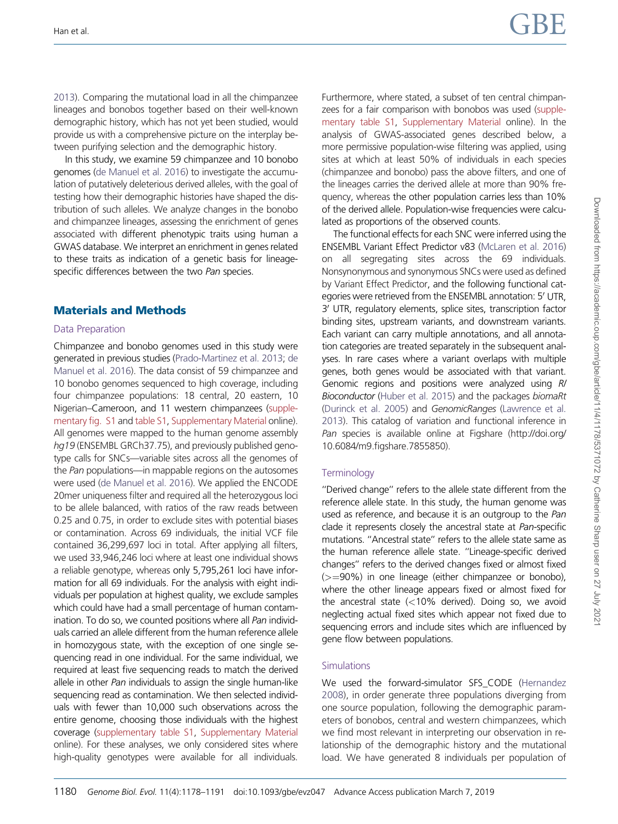[2013](#page-12-0)). Comparing the mutational load in all the chimpanzee lineages and bonobos together based on their well-known demographic history, which has not yet been studied, would provide us with a comprehensive picture on the interplay between purifying selection and the demographic history.

In this study, we examine 59 chimpanzee and 10 bonobo genomes [\(de Manuel et al. 2016\)](#page-11-0) to investigate the accumulation of putatively deleterious derived alleles, with the goal of testing how their demographic histories have shaped the distribution of such alleles. We analyze changes in the bonobo and chimpanzee lineages, assessing the enrichment of genes associated with different phenotypic traits using human a GWAS database. We interpret an enrichment in genes related to these traits as indication of a genetic basis for lineagespecific differences between the two Pan species.

## Materials and Methods

#### Data Preparation

Chimpanzee and bonobo genomes used in this study were generated in previous studies [\(Prado-Martinez et al. 2013;](#page-12-0) [de](#page-11-0) [Manuel et al. 2016](#page-11-0)). The data consist of 59 chimpanzee and 10 bonobo genomes sequenced to high coverage, including four chimpanzee populations: 18 central, 20 eastern, 10 Nigerian–Cameroon, and 11 western chimpanzees [\(supple](https://academic.oup.com/gbe/article-lookup/doi/10.1093/gbe/evz047#supplementary-data)[mentary fig. S1](https://academic.oup.com/gbe/article-lookup/doi/10.1093/gbe/evz047#supplementary-data) and [table S1,](https://academic.oup.com/gbe/article-lookup/doi/10.1093/gbe/evz047#supplementary-data) [Supplementary Material](https://academic.oup.com/gbe/article-lookup/doi/10.1093/gbe/evz047#supplementary-data) online). All genomes were mapped to the human genome assembly hg19 (ENSEMBL GRCh37.75), and previously published genotype calls for SNCs—variable sites across all the genomes of the Pan populations—in mappable regions on the autosomes were used [\(de Manuel et al. 2016](#page-11-0)). We applied the ENCODE 20mer uniqueness filter and required all the heterozygous loci to be allele balanced, with ratios of the raw reads between 0.25 and 0.75, in order to exclude sites with potential biases or contamination. Across 69 individuals, the initial VCF file contained 36,299,697 loci in total. After applying all filters, we used 33,946,246 loci where at least one individual shows a reliable genotype, whereas only 5,795,261 loci have information for all 69 individuals. For the analysis with eight individuals per population at highest quality, we exclude samples which could have had a small percentage of human contamination. To do so, we counted positions where all Pan individuals carried an allele different from the human reference allele in homozygous state, with the exception of one single sequencing read in one individual. For the same individual, we required at least five sequencing reads to match the derived allele in other Pan individuals to assign the single human-like sequencing read as contamination. We then selected individuals with fewer than 10,000 such observations across the entire genome, choosing those individuals with the highest coverage [\(supplementary table S1,](https://academic.oup.com/gbe/article-lookup/doi/10.1093/gbe/evz047#supplementary-data) [Supplementary Material](https://academic.oup.com/gbe/article-lookup/doi/10.1093/gbe/evz047#supplementary-data) online). For these analyses, we only considered sites where high-quality genotypes were available for all individuals.

Furthermore, where stated, a subset of ten central chimpanzees for a fair comparison with bonobos was used ([supple](https://academic.oup.com/gbe/article-lookup/doi/10.1093/gbe/evz047#supplementary-data)[mentary table S1,](https://academic.oup.com/gbe/article-lookup/doi/10.1093/gbe/evz047#supplementary-data) [Supplementary Material](https://academic.oup.com/gbe/article-lookup/doi/10.1093/gbe/evz047#supplementary-data) online). In the analysis of GWAS-associated genes described below, a more permissive population-wise filtering was applied, using sites at which at least 50% of individuals in each species (chimpanzee and bonobo) pass the above filters, and one of the lineages carries the derived allele at more than 90% frequency, whereas the other population carries less than 10% of the derived allele. Population-wise frequencies were calculated as proportions of the observed counts.

The functional effects for each SNC were inferred using the ENSEMBL Variant Effect Predictor v83 ([McLaren et al. 2016](#page-12-0)) on all segregating sites across the 69 individuals. Nonsynonymous and synonymous SNCs were used as defined by Variant Effect Predictor, and the following functional categories were retrieved from the ENSEMBL annotation: 5' UTR. 3' UTR, regulatory elements, splice sites, transcription factor binding sites, upstream variants, and downstream variants. Each variant can carry multiple annotations, and all annotation categories are treated separately in the subsequent analyses. In rare cases where a variant overlaps with multiple genes, both genes would be associated with that variant. Genomic regions and positions were analyzed using R/ Bioconductor ([Huber et al. 2015](#page-12-0)) and the packages biomaRt [\(Durinck et al. 2005\)](#page-11-0) and GenomicRanges [\(Lawrence et al.](#page-12-0) [2013\)](#page-12-0). This catalog of variation and functional inference in Pan species is available online at Figshare (http://doi.org/ 10.6084/m9.figshare.7855850).

## **Terminology**

''Derived change'' refers to the allele state different from the reference allele state. In this study, the human genome was used as reference, and because it is an outgroup to the Pan clade it represents closely the ancestral state at Pan-specific mutations. ''Ancestral state'' refers to the allele state same as the human reference allele state. ''Lineage-specific derived changes'' refers to the derived changes fixed or almost fixed  $(>=90\%)$  in one lineage (either chimpanzee or bonobo), where the other lineage appears fixed or almost fixed for the ancestral state (<10% derived). Doing so, we avoid neglecting actual fixed sites which appear not fixed due to sequencing errors and include sites which are influenced by gene flow between populations.

## **Simulations**

We used the forward-simulator SFS\_CODE ([Hernandez](#page-11-0) [2008\)](#page-11-0), in order generate three populations diverging from one source population, following the demographic parameters of bonobos, central and western chimpanzees, which we find most relevant in interpreting our observation in relationship of the demographic history and the mutational load. We have generated 8 individuals per population of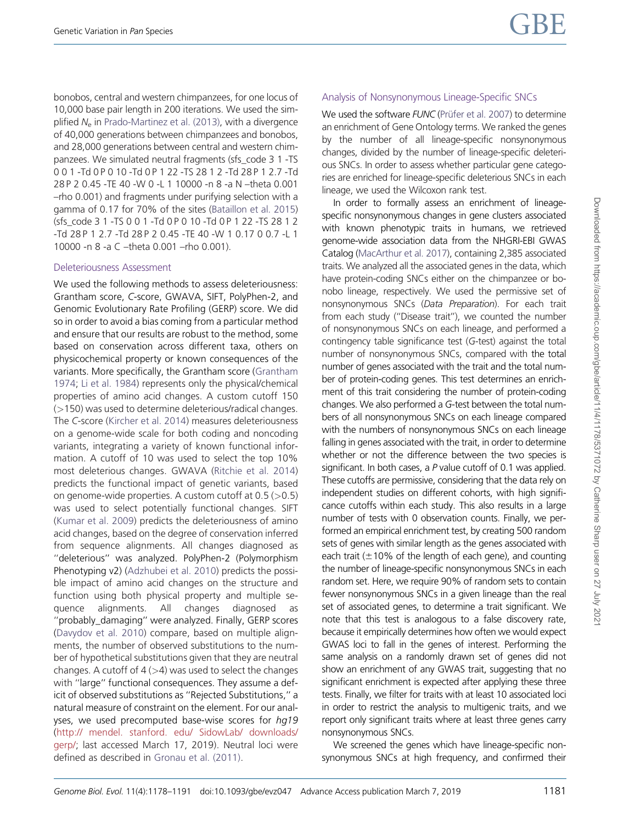bonobos, central and western chimpanzees, for one locus of 10,000 base pair length in 200 iterations. We used the simplified  $N_e$  in [Prado-Martinez et al. \(2013\),](#page-12-0) with a divergence of 40,000 generations between chimpanzees and bonobos, and 28,000 generations between central and western chimpanzees. We simulated neutral fragments (sfs\_code 3 1 -TS 0 0 1 -Td 0 P 0 10 -Td 0 P 1 22 -TS 28 1 2 -Td 28 P 1 2.7 -Td 28 P 2 0.45 -TE 40 -W 0 -L 1 10000 -n 8 -a N –theta 0.001 –rho 0.001) and fragments under purifying selection with a gamma of 0.17 for 70% of the sites [\(Bataillon et al. 2015\)](#page-11-0) (sfs\_code 3 1 -TS 0 0 1 -Td 0 P 0 10 -Td 0 P 1 22 -TS 28 1 2 -Td 28 P 1 2.7 -Td 28 P 2 0.45 -TE 40 -W 1 0.17 0 0.7 -L 1 10000 -n 8 -a C –theta 0.001 –rho 0.001).

## Deleteriousness Assessment

We used the following methods to assess deleteriousness: Grantham score, C-score, GWAVA, SIFT, PolyPhen-2, and Genomic Evolutionary Rate Profiling (GERP) score. We did so in order to avoid a bias coming from a particular method and ensure that our results are robust to the method, some based on conservation across different taxa, others on physicochemical property or known consequences of the variants. More specifically, the Grantham score [\(Grantham](#page-11-0) [1974;](#page-11-0) [Li et al. 1984\)](#page-12-0) represents only the physical/chemical properties of amino acid changes. A custom cutoff 150 (>150) was used to determine deleterious/radical changes. The C-score ([Kircher et al. 2014\)](#page-12-0) measures deleteriousness on a genome-wide scale for both coding and noncoding variants, integrating a variety of known functional information. A cutoff of 10 was used to select the top 10% most deleterious changes. GWAVA [\(Ritchie et al. 2014\)](#page-12-0) predicts the functional impact of genetic variants, based on genome-wide properties. A custom cutoff at  $0.5$  ( $>0.5$ ) was used to select potentially functional changes. SIFT ([Kumar et al. 2009](#page-12-0)) predicts the deleteriousness of amino acid changes, based on the degree of conservation inferred from sequence alignments. All changes diagnosed as ''deleterious'' was analyzed. PolyPhen-2 (Polymorphism Phenotyping v2) ([Adzhubei et al. 2010](#page-11-0)) predicts the possible impact of amino acid changes on the structure and function using both physical property and multiple sequence alignments. All changes diagnosed as ''probably\_damaging'' were analyzed. Finally, GERP scores ([Davydov et al. 2010\)](#page-11-0) compare, based on multiple alignments, the number of observed substitutions to the number of hypothetical substitutions given that they are neutral changes. A cutoff of  $4$  ( $>4$ ) was used to select the changes with ''large'' functional consequences. They assume a deficit of observed substitutions as ''Rejected Substitutions,'' a natural measure of constraint on the element. For our analyses, we used precomputed base-wise scores for hg19 ([http:// mendel. stanford. edu/ SidowLab/ downloads/](http://mendel.stanford.edu/SidowLab/downloads/gerp/) [gerp/](http://mendel.stanford.edu/SidowLab/downloads/gerp/); last accessed March 17, 2019). Neutral loci were defined as described in [Gronau et al. \(2011\).](#page-11-0)

# Analysis of Nonsynonymous Lineage-Specific SNCs

We used the software FUNC (Prüfer et al. 2007) to determine an enrichment of Gene Ontology terms. We ranked the genes by the number of all lineage-specific nonsynonymous changes, divided by the number of lineage-specific deleterious SNCs. In order to assess whether particular gene categories are enriched for lineage-specific deleterious SNCs in each lineage, we used the Wilcoxon rank test.

In order to formally assess an enrichment of lineagespecific nonsynonymous changes in gene clusters associated with known phenotypic traits in humans, we retrieved genome-wide association data from the NHGRI-EBI GWAS Catalog [\(MacArthur et al. 2017\)](#page-12-0), containing 2,385 associated traits. We analyzed all the associated genes in the data, which have protein-coding SNCs either on the chimpanzee or bonobo lineage, respectively. We used the permissive set of nonsynonymous SNCs (Data Preparation). For each trait from each study (''Disease trait''), we counted the number of nonsynonymous SNCs on each lineage, and performed a contingency table significance test (G-test) against the total number of nonsynonymous SNCs, compared with the total number of genes associated with the trait and the total number of protein-coding genes. This test determines an enrichment of this trait considering the number of protein-coding changes. We also performed a G-test between the total numbers of all nonsynonymous SNCs on each lineage compared with the numbers of nonsynonymous SNCs on each lineage falling in genes associated with the trait, in order to determine whether or not the difference between the two species is significant. In both cases, a P value cutoff of 0.1 was applied. These cutoffs are permissive, considering that the data rely on independent studies on different cohorts, with high significance cutoffs within each study. This also results in a large number of tests with 0 observation counts. Finally, we performed an empirical enrichment test, by creating 500 random sets of genes with similar length as the genes associated with each trait ( $\pm$ 10% of the length of each gene), and counting the number of lineage-specific nonsynonymous SNCs in each random set. Here, we require 90% of random sets to contain fewer nonsynonymous SNCs in a given lineage than the real set of associated genes, to determine a trait significant. We note that this test is analogous to a false discovery rate, because it empirically determines how often we would expect GWAS loci to fall in the genes of interest. Performing the same analysis on a randomly drawn set of genes did not show an enrichment of any GWAS trait, suggesting that no significant enrichment is expected after applying these three tests. Finally, we filter for traits with at least 10 associated loci in order to restrict the analysis to multigenic traits, and we report only significant traits where at least three genes carry nonsynonymous SNCs.

We screened the genes which have lineage-specific nonsynonymous SNCs at high frequency, and confirmed their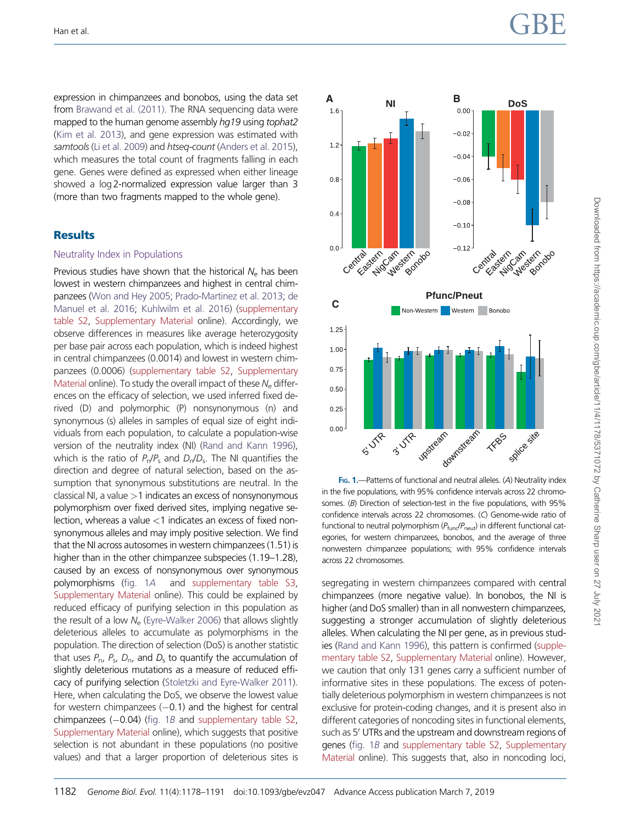<span id="page-4-0"></span>Han et al.  $\begin{array}{c}\n\text{GBE}\n\end{array}$ 

expression in chimpanzees and bonobos, using the data set from [Brawand et al. \(2011\)](#page-11-0). The RNA sequencing data were mapped to the human genome assembly hg19 using tophat2 [\(Kim et al. 2013\)](#page-12-0), and gene expression was estimated with samtools [\(Li et al. 2009\)](#page-12-0) and htseq-count ([Anders et al. 2015](#page-11-0)), which measures the total count of fragments falling in each gene. Genes were defined as expressed when either lineage showed a log 2-normalized expression value larger than 3 (more than two fragments mapped to the whole gene).

## **Results**

#### Neutrality Index in Populations

Previous studies have shown that the historical  $N_e$  has been lowest in western chimpanzees and highest in central chimpanzees [\(Won and Hey 2005](#page-13-0); [Prado-Martinez et al. 2013;](#page-12-0) [de](#page-11-0) [Manuel et al. 2016;](#page-11-0) [Kuhlwilm et al. 2016](#page-12-0)) [\(supplementary](https://academic.oup.com/gbe/article-lookup/doi/10.1093/gbe/evz047#supplementary-data) [table S2,](https://academic.oup.com/gbe/article-lookup/doi/10.1093/gbe/evz047#supplementary-data) [Supplementary Material](https://academic.oup.com/gbe/article-lookup/doi/10.1093/gbe/evz047#supplementary-data) online). Accordingly, we observe differences in measures like average heterozygosity per base pair across each population, which is indeed highest in central chimpanzees (0.0014) and lowest in western chimpanzees (0.0006) [\(supplementary table S2](https://academic.oup.com/gbe/article-lookup/doi/10.1093/gbe/evz047#supplementary-data), [Supplementary](https://academic.oup.com/gbe/article-lookup/doi/10.1093/gbe/evz047#supplementary-data) [Material](https://academic.oup.com/gbe/article-lookup/doi/10.1093/gbe/evz047#supplementary-data) online). To study the overall impact of these  $N_e$  differences on the efficacy of selection, we used inferred fixed derived (D) and polymorphic (P) nonsynonymous (n) and synonymous (s) alleles in samples of equal size of eight individuals from each population, to calculate a population-wise version of the neutrality index (NI) [\(Rand and Kann 1996](#page-12-0)), which is the ratio of  $P_n/P_s$  and  $D_n/D_s$ . The NI quantifies the direction and degree of natural selection, based on the assumption that synonymous substitutions are neutral. In the classical NI, a value  $>1$  indicates an excess of nonsynonymous polymorphism over fixed derived sites, implying negative selection, whereas a value  $<$  1 indicates an excess of fixed nonsynonymous alleles and may imply positive selection. We find that the NI across autosomes in western chimpanzees (1.51) is higher than in the other chimpanzee subspecies (1.19–1.28), caused by an excess of nonsynonymous over synonymous polymorphisms (fig. 1A and [supplementary table S3,](https://academic.oup.com/gbe/article-lookup/doi/10.1093/gbe/evz047#supplementary-data) [Supplementary Material](https://academic.oup.com/gbe/article-lookup/doi/10.1093/gbe/evz047#supplementary-data) online). This could be explained by reduced efficacy of purifying selection in this population as the result of a low  $N_e$  [\(Eyre-Walker 2006](#page-11-0)) that allows slightly deleterious alleles to accumulate as polymorphisms in the population. The direction of selection (DoS) is another statistic that uses  $P_{\text{n}}$ ,  $P_{\text{s}}$ ,  $D_{\text{n}}$ , and  $D_{\text{s}}$  to quantify the accumulation of slightly deleterious mutations as a measure of reduced efficacy of purifying selection [\(Stoletzki and Eyre-Walker 2011](#page-12-0)). Here, when calculating the DoS, we observe the lowest value for western chimpanzees  $(-0.1)$  and the highest for central  $chimpanzees$  ( $-0.04$ ) (fig. 1B and [supplementary table S2,](https://academic.oup.com/gbe/article-lookup/doi/10.1093/gbe/evz047#supplementary-data) [Supplementary Material](https://academic.oup.com/gbe/article-lookup/doi/10.1093/gbe/evz047#supplementary-data) online), which suggests that positive selection is not abundant in these populations (no positive values) and that a larger proportion of deleterious sites is



FIG. 1.-Patterns of functional and neutral alleles. (A) Neutrality index in the five populations, with 95% confidence intervals across 22 chromosomes. (B) Direction of selection-test in the five populations, with 95% confidence intervals across 22 chromosomes. (C) Genome-wide ratio of functional to neutral polymorphism  $(P_{\text{fund}}/P_{\text{neut}})$  in different functional categories, for western chimpanzees, bonobos, and the average of three nonwestern chimpanzee populations; with 95% confidence intervals across 22 chromosomes.

segregating in western chimpanzees compared with central chimpanzees (more negative value). In bonobos, the NI is higher (and DoS smaller) than in all nonwestern chimpanzees, suggesting a stronger accumulation of slightly deleterious alleles. When calculating the NI per gene, as in previous studies ([Rand and Kann 1996](#page-12-0)), this pattern is confirmed ([supple](https://academic.oup.com/gbe/article-lookup/doi/10.1093/gbe/evz047#supplementary-data)[mentary table S2,](https://academic.oup.com/gbe/article-lookup/doi/10.1093/gbe/evz047#supplementary-data) [Supplementary Material](https://academic.oup.com/gbe/article-lookup/doi/10.1093/gbe/evz047#supplementary-data) online). However, we caution that only 131 genes carry a sufficient number of informative sites in these populations. The excess of potentially deleterious polymorphism in western chimpanzees is not exclusive for protein-coding changes, and it is present also in different categories of noncoding sites in functional elements, such as 5<sup>'</sup> UTRs and the upstream and downstream regions of genes (fig. 1B and [supplementary table S2](https://academic.oup.com/gbe/article-lookup/doi/10.1093/gbe/evz047#supplementary-data), [Supplementary](https://academic.oup.com/gbe/article-lookup/doi/10.1093/gbe/evz047#supplementary-data) [Material](https://academic.oup.com/gbe/article-lookup/doi/10.1093/gbe/evz047#supplementary-data) online). This suggests that, also in noncoding loci,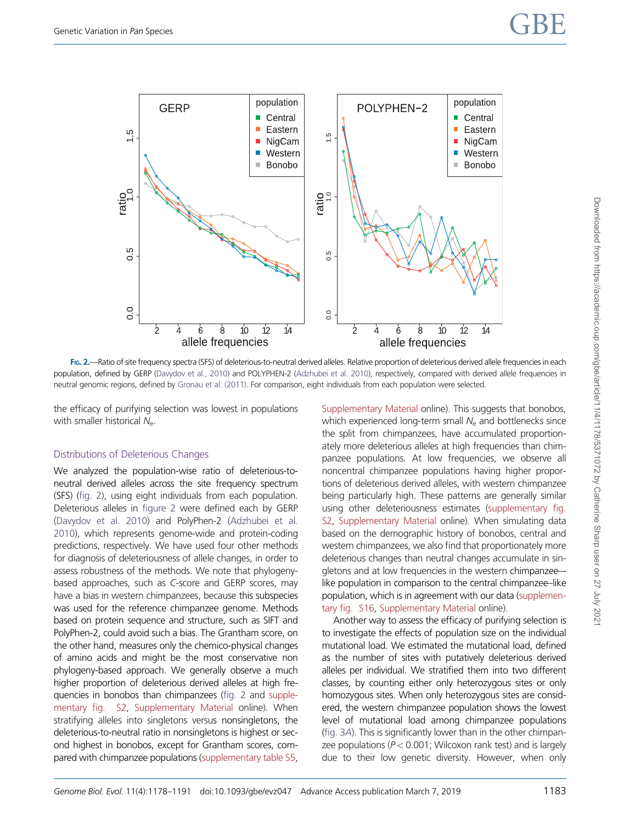<span id="page-5-0"></span>

FIG. 2.—Ratio of site frequency spectra (SFS) of deleterious-to-neutral derived alleles. Relative proportion of deleterious derived allele frequencies in each population, defined by GERP [\(Davydov et al., 2010](#page-11-0)) and POLYPHEN-2 ([Adzhubei et al. 2010](#page-11-0)), respectively, compared with derived allele frequencies in neutral genomic regions, defined by [Gronau et al. \(2011\)](#page-11-0). For comparison, eight individuals from each population were selected.

the efficacy of purifying selection was lowest in populations with smaller historical  $N_{e}$ .

## Distributions of Deleterious Changes

We analyzed the population-wise ratio of deleterious-toneutral derived alleles across the site frequency spectrum (SFS) (fig. 2), using eight individuals from each population. Deleterious alleles in figure 2 were defined each by GERP [\(Davydov et al. 2010\)](#page-11-0) and PolyPhen-2 [\(Adzhubei et al.](#page-11-0) [2010](#page-11-0)), which represents genome-wide and protein-coding predictions, respectively. We have used four other methods for diagnosis of deleteriousness of allele changes, in order to assess robustness of the methods. We note that phylogenybased approaches, such as C-score and GERP scores, may have a bias in western chimpanzees, because this subspecies was used for the reference chimpanzee genome. Methods based on protein sequence and structure, such as SIFT and PolyPhen-2, could avoid such a bias. The Grantham score, on the other hand, measures only the chemico-physical changes of amino acids and might be the most conservative non phylogeny-based approach. We generally observe a much higher proportion of deleterious derived alleles at high frequencies in bonobos than chimpanzees (fig. 2 and [supple](https://academic.oup.com/gbe/article-lookup/doi/10.1093/gbe/evz047#supplementary-data)[mentary fig. S2,](https://academic.oup.com/gbe/article-lookup/doi/10.1093/gbe/evz047#supplementary-data) [Supplementary Material](https://academic.oup.com/gbe/article-lookup/doi/10.1093/gbe/evz047#supplementary-data) online). When stratifying alleles into singletons versus nonsingletons, the deleterious-to-neutral ratio in nonsingletons is highest or second highest in bonobos, except for Grantham scores, compared with chimpanzee populations ([supplementary table S5,](https://academic.oup.com/gbe/article-lookup/doi/10.1093/gbe/evz047#supplementary-data) [Supplementary Material](https://academic.oup.com/gbe/article-lookup/doi/10.1093/gbe/evz047#supplementary-data) online). This suggests that bonobos, which experienced long-term small  $N_e$  and bottlenecks since the split from chimpanzees, have accumulated proportionately more deleterious alleles at high frequencies than chimpanzee populations. At low frequencies, we observe all noncentral chimpanzee populations having higher proportions of deleterious derived alleles, with western chimpanzee being particularly high. These patterns are generally similar using other deleteriousness estimates ([supplementary fig.](https://academic.oup.com/gbe/article-lookup/doi/10.1093/gbe/evz047#supplementary-data) [S2,](https://academic.oup.com/gbe/article-lookup/doi/10.1093/gbe/evz047#supplementary-data) [Supplementary Material](https://academic.oup.com/gbe/article-lookup/doi/10.1093/gbe/evz047#supplementary-data) online). When simulating data based on the demographic history of bonobos, central and western chimpanzees, we also find that proportionately more deleterious changes than neutral changes accumulate in singletons and at low frequencies in the western chimpanzee– like population in comparison to the central chimpanzee–like population, which is in agreement with our data [\(supplemen](https://academic.oup.com/gbe/article-lookup/doi/10.1093/gbe/evz047#supplementary-data)[tary fig. S16,](https://academic.oup.com/gbe/article-lookup/doi/10.1093/gbe/evz047#supplementary-data) [Supplementary Material](https://academic.oup.com/gbe/article-lookup/doi/10.1093/gbe/evz047#supplementary-data) online).

Another way to assess the efficacy of purifying selection is to investigate the effects of population size on the individual mutational load. We estimated the mutational load, defined as the number of sites with putatively deleterious derived alleles per individual. We stratified them into two different classes, by counting either only heterozygous sites or only homozygous sites. When only heterozygous sites are considered, the western chimpanzee population shows the lowest level of mutational load among chimpanzee populations [\(fig. 3](#page-6-0)A). This is significantly lower than in the other chimpanzee populations ( $P < 0.001$ ; Wilcoxon rank test) and is largely due to their low genetic diversity. However, when only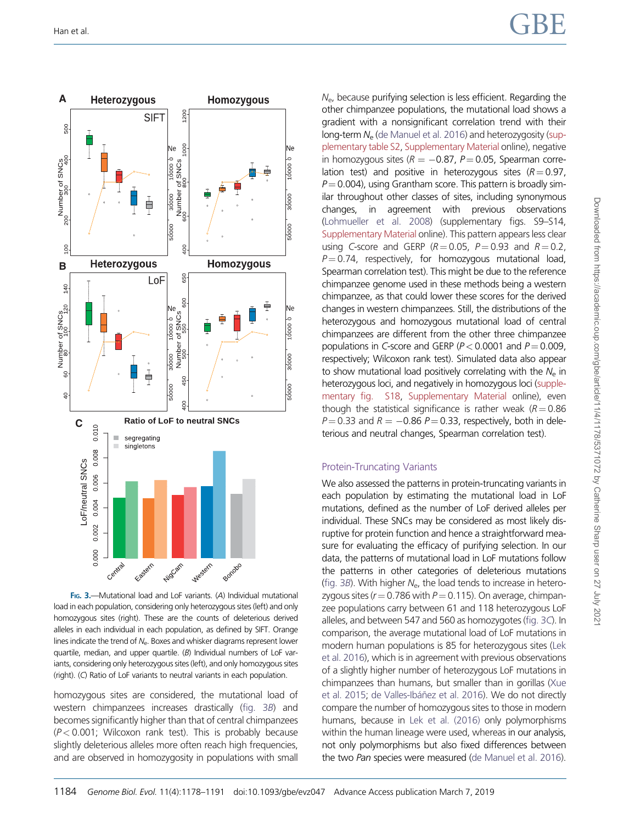<span id="page-6-0"></span>



FIG. 3.-Mutational load and LoF variants. (A) Individual mutational load in each population, considering only heterozygous sites (left) and only homozygous sites (right). These are the counts of deleterious derived alleles in each individual in each population, as defined by SIFT. Orange lines indicate the trend of  $N_{e}$ . Boxes and whisker diagrams represent lower quartile, median, and upper quartile. (B) Individual numbers of LoF variants, considering only heterozygous sites (left), and only homozygous sites (right). (C) Ratio of LoF variants to neutral variants in each population.

homozygous sites are considered, the mutational load of western chimpanzees increases drastically (fig. 3B) and becomes significantly higher than that of central chimpanzees  $(P< 0.001$ ; Wilcoxon rank test). This is probably because slightly deleterious alleles more often reach high frequencies, and are observed in homozygosity in populations with small  $N<sub>e</sub>$ , because purifying selection is less efficient. Regarding the other chimpanzee populations, the mutational load shows a gradient with a nonsignificant correlation trend with their long-term  $N_e$  [\(de Manuel et al. 2016](#page-11-0)) and heterozygosity [\(sup](https://academic.oup.com/gbe/article-lookup/doi/10.1093/gbe/evz047#supplementary-data)[plementary table S2,](https://academic.oup.com/gbe/article-lookup/doi/10.1093/gbe/evz047#supplementary-data) [Supplementary Material](https://academic.oup.com/gbe/article-lookup/doi/10.1093/gbe/evz047#supplementary-data) online), negative in homozygous sites ( $R = -0.87$ ,  $P = 0.05$ , Spearman correlation test) and positive in heterozygous sites  $(R = 0.97)$ ,  $P = 0.004$ ), using Grantham score. This pattern is broadly similar throughout other classes of sites, including synonymous changes, in agreement with previous observations [\(Lohmueller et al. 2008](#page-12-0)) (supplementary figs. S9–S14, [Supplementary Material](https://academic.oup.com/gbe/article-lookup/doi/10.1093/gbe/evz047#supplementary-data) online). This pattern appears less clear using C-score and GERP  $(R = 0.05, P = 0.93$  and  $R = 0.2$ .  $P = 0.74$ , respectively, for homozygous mutational load, Spearman correlation test). This might be due to the reference chimpanzee genome used in these methods being a western chimpanzee, as that could lower these scores for the derived changes in western chimpanzees. Still, the distributions of the heterozygous and homozygous mutational load of central chimpanzees are different from the other three chimpanzee populations in C-score and GERP ( $P < 0.0001$  and  $P = 0.009$ , respectively; Wilcoxon rank test). Simulated data also appear to show mutational load positively correlating with the  $N_e$  in heterozygous loci, and negatively in homozygous loci [\(supple](https://academic.oup.com/gbe/article-lookup/doi/10.1093/gbe/evz047#supplementary-data)[mentary fig. S18,](https://academic.oup.com/gbe/article-lookup/doi/10.1093/gbe/evz047#supplementary-data) [Supplementary Material](https://academic.oup.com/gbe/article-lookup/doi/10.1093/gbe/evz047#supplementary-data) online), even though the statistical significance is rather weak ( $R = 0.86$ )  $P = 0.33$  and  $R = -0.86$   $P = 0.33$ , respectively, both in deleterious and neutral changes, Spearman correlation test).

#### Protein-Truncating Variants

We also assessed the patterns in protein-truncating variants in each population by estimating the mutational load in LoF mutations, defined as the number of LoF derived alleles per individual. These SNCs may be considered as most likely disruptive for protein function and hence a straightforward measure for evaluating the efficacy of purifying selection. In our data, the patterns of mutational load in LoF mutations follow the patterns in other categories of deleterious mutations (fig. 3B). With higher  $N_e$ , the load tends to increase in heterozygous sites ( $r = 0.786$  with  $P = 0.115$ ). On average, chimpanzee populations carry between 61 and 118 heterozygous LoF alleles, and between 547 and 560 as homozygotes (fig. 3C). In comparison, the average mutational load of LoF mutations in modern human populations is 85 for heterozygous sites ([Lek](#page-12-0) [et al. 2016](#page-12-0)), which is in agreement with previous observations of a slightly higher number of heterozygous LoF mutations in chimpanzees than humans, but smaller than in gorillas ([Xue](#page-13-0) [et al. 2015;](#page-13-0) de Valles-Ibáñez et al. 2016). We do not directly compare the number of homozygous sites to those in modern humans, because in [Lek et al. \(2016\)](#page-12-0) only polymorphisms within the human lineage were used, whereas in our analysis, not only polymorphisms but also fixed differences between the two Pan species were measured ([de Manuel et al. 2016\)](#page-11-0).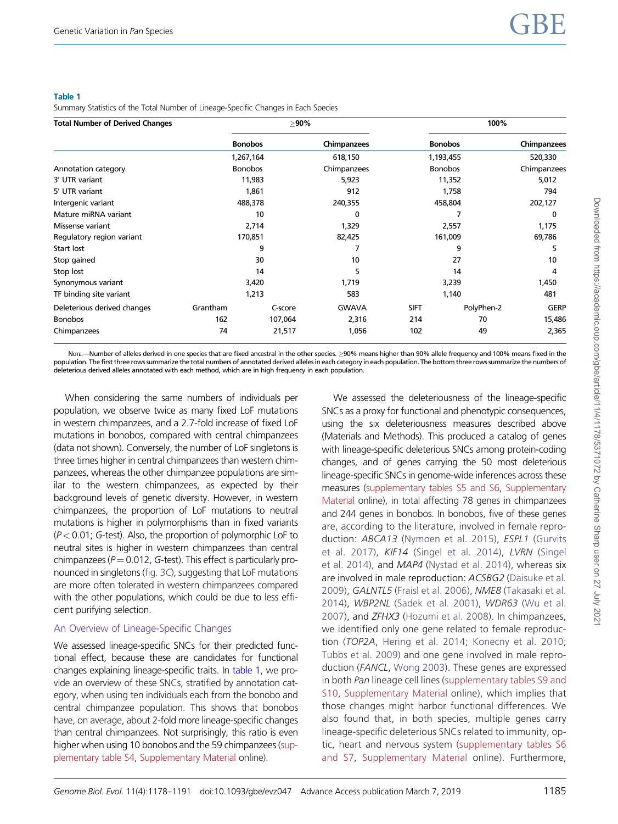#### Table 1

Summary Statistics of the Total Number of Lineage-Specific Changes in Each Species

| <b>Total Number of Derived Changes</b> | $>90\%$  |                |              | 100%           |                |             |
|----------------------------------------|----------|----------------|--------------|----------------|----------------|-------------|
|                                        |          | <b>Bonobos</b> | Chimpanzees  |                | <b>Bonobos</b> | Chimpanzees |
|                                        |          | 1,267,164      |              | 1,193,455      |                | 520,330     |
| Annotation category                    |          | <b>Bonobos</b> |              | <b>Bonobos</b> |                | Chimpanzees |
| 3' UTR variant                         |          | 11,983         |              | 11,352         |                | 5,012       |
| 5' UTR variant                         |          | 1,861          |              | 1,758          |                | 794         |
| Intergenic variant                     |          | 488,378        |              | 458,804        |                | 202,127     |
| Mature miRNA variant                   | 10       |                | 0            |                |                | 0           |
| Missense variant                       | 2,714    |                | 1,329        | 2,557          |                | 1,175       |
| Regulatory region variant              | 170,851  |                | 82,425       | 161,009        |                | 69,786      |
| Start lost                             | 9        |                | 7            | 9              |                | 5           |
| Stop gained                            | 30       |                | 10           | 27             |                | 10          |
| Stop lost                              | 14       |                | 5            | 14             |                | 4           |
| Synonymous variant                     | 3,420    |                | 1,719        | 3,239          |                | 1,450       |
| TF binding site variant                | 1,213    |                | 583          | 1,140          |                | 481         |
| Deleterious derived changes            | Grantham | C-score        | <b>GWAVA</b> | <b>SIFT</b>    | PolyPhen-2     | <b>GERP</b> |
| <b>Bonobos</b>                         | 162      | 107,064        | 2,316        | 214            | 70             | 15,486      |
| Chimpanzees                            | 74       | 21,517         | 1,056        | 102            | 49             | 2,365       |

NorE-Number of alleles derived in one species that are fixed ancestral in the other species.  $\geq$ 90% means higher than 90% allele frequency and 100% means fixed in the population. The first three rows summarize the total numbers of annotated derived alleles in each category in each population. The bottom three rows summarize the numbers of deleterious derived alleles annotated with each method, which are in high frequency in each population.

When considering the same numbers of individuals per population, we observe twice as many fixed LoF mutations in western chimpanzees, and a 2.7-fold increase of fixed LoF mutations in bonobos, compared with central chimpanzees (data not shown). Conversely, the number of LoF singletons is three times higher in central chimpanzees than western chimpanzees, whereas the other chimpanzee populations are similar to the western chimpanzees, as expected by their background levels of genetic diversity. However, in western chimpanzees, the proportion of LoF mutations to neutral mutations is higher in polymorphisms than in fixed variants  $(P< 0.01$ ; G-test). Also, the proportion of polymorphic LoF to neutral sites is higher in western chimpanzees than central chimpanzees ( $P = 0.012$ , G-test). This effect is particularly pronounced in singletons ([fig. 3](#page-6-0)C), suggesting that LoF mutations are more often tolerated in western chimpanzees compared with the other populations, which could be due to less efficient purifying selection.

## An Overview of Lineage-Specific Changes

We assessed lineage-specific SNCs for their predicted functional effect, because these are candidates for functional changes explaining lineage-specific traits. In table 1, we provide an overview of these SNCs, stratified by annotation category, when using ten individuals each from the bonobo and central chimpanzee population. This shows that bonobos have, on average, about 2-fold more lineage-specific changes than central chimpanzees. Not surprisingly, this ratio is even higher when using 10 bonobos and the 59 chimpanzees ([sup](https://academic.oup.com/gbe/article-lookup/doi/10.1093/gbe/evz047#supplementary-data)[plementary table S4,](https://academic.oup.com/gbe/article-lookup/doi/10.1093/gbe/evz047#supplementary-data) [Supplementary Material](https://academic.oup.com/gbe/article-lookup/doi/10.1093/gbe/evz047#supplementary-data) online).

We assessed the deleteriousness of the lineage-specific SNCs as a proxy for functional and phenotypic consequences, using the six deleteriousness measures described above (Materials and Methods). This produced a catalog of genes with lineage-specific deleterious SNCs among protein-coding changes, and of genes carrying the 50 most deleterious lineage-specific SNCs in genome-wide inferences across these measures [\(supplementary tables S5 and S6](https://academic.oup.com/gbe/article-lookup/doi/10.1093/gbe/evz047#supplementary-data), [Supplementary](https://academic.oup.com/gbe/article-lookup/doi/10.1093/gbe/evz047#supplementary-data) [Material](https://academic.oup.com/gbe/article-lookup/doi/10.1093/gbe/evz047#supplementary-data) online), in total affecting 78 genes in chimpanzees and 244 genes in bonobos. In bonobos, five of these genes are, according to the literature, involved in female repro-duction: ABCA13 ([Nymoen et al. 2015](#page-12-0)), ESPL1 ([Gurvits](#page-11-0) [et al. 2017\)](#page-11-0), KIF14 [\(Singel et al. 2014\)](#page-12-0), LVRN [\(Singel](#page-12-0) [et al. 2014\)](#page-12-0), and MAP4 ([Nystad et al. 2014\)](#page-12-0), whereas six are involved in male reproduction: ACSBG2 [\(Daisuke et al.](#page-11-0) [2009\)](#page-11-0), GALNTL5 [\(Fraisl et al. 2006](#page-11-0)), NME8 [\(Takasaki et al.](#page-12-0) [2014\)](#page-12-0), WBP2NL ([Sadek et al. 2001\)](#page-12-0), WDR63 ([Wu et al.](#page-13-0) [2007\)](#page-13-0), and ZFHX3 [\(Hozumi et al. 2008](#page-11-0)). In chimpanzees, we identified only one gene related to female reproduction (TOP2A, [Hering et al. 2014;](#page-11-0) [Konecny et al. 2010](#page-12-0); [Tubbs et al. 2009\)](#page-13-0) and one gene involved in male reproduction (FANCL, [Wong 2003\)](#page-13-0). These genes are expressed in both Pan lineage cell lines ([supplementary tables S9 and](https://academic.oup.com/gbe/article-lookup/doi/10.1093/gbe/evz047#supplementary-data) [S10,](https://academic.oup.com/gbe/article-lookup/doi/10.1093/gbe/evz047#supplementary-data) [Supplementary Material](https://academic.oup.com/gbe/article-lookup/doi/10.1093/gbe/evz047#supplementary-data) online), which implies that those changes might harbor functional differences. We also found that, in both species, multiple genes carry lineage-specific deleterious SNCs related to immunity, optic, heart and nervous system ([supplementary tables S6](https://academic.oup.com/gbe/article-lookup/doi/10.1093/gbe/evz047#supplementary-data) [and S7](https://academic.oup.com/gbe/article-lookup/doi/10.1093/gbe/evz047#supplementary-data), [Supplementary Material](https://academic.oup.com/gbe/article-lookup/doi/10.1093/gbe/evz047#supplementary-data) online). Furthermore,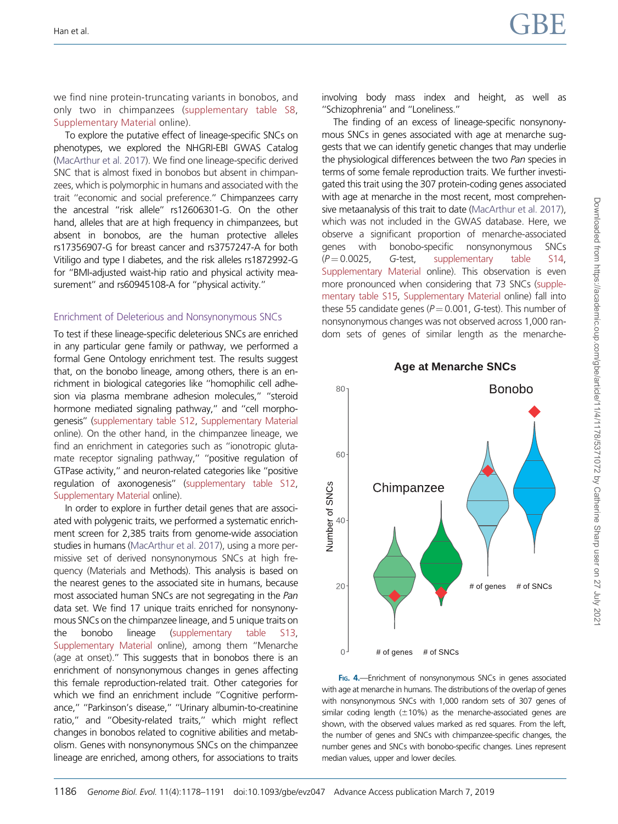<span id="page-8-0"></span>we find nine protein-truncating variants in bonobos, and only two in chimpanzees [\(supplementary table S8,](https://academic.oup.com/gbe/article-lookup/doi/10.1093/gbe/evz047#supplementary-data) [Supplementary Material](https://academic.oup.com/gbe/article-lookup/doi/10.1093/gbe/evz047#supplementary-data) online).

To explore the putative effect of lineage-specific SNCs on phenotypes, we explored the NHGRI-EBI GWAS Catalog [\(MacArthur et al. 2017](#page-12-0)). We find one lineage-specific derived SNC that is almost fixed in bonobos but absent in chimpanzees, which is polymorphic in humans and associated with the trait ''economic and social preference.'' Chimpanzees carry the ancestral ''risk allele'' rs12606301-G. On the other hand, alleles that are at high frequency in chimpanzees, but absent in bonobos, are the human protective alleles rs17356907-G for breast cancer and rs3757247-A for both Vitiligo and type I diabetes, and the risk alleles rs1872992-G for ''BMI-adjusted waist-hip ratio and physical activity measurement'' and rs60945108-A for ''physical activity.''

#### Enrichment of Deleterious and Nonsynonymous SNCs

To test if these lineage-specific deleterious SNCs are enriched in any particular gene family or pathway, we performed a formal Gene Ontology enrichment test. The results suggest that, on the bonobo lineage, among others, there is an enrichment in biological categories like ''homophilic cell adhesion via plasma membrane adhesion molecules,'' ''steroid hormone mediated signaling pathway," and "cell morphogenesis'' [\(supplementary table S12,](https://academic.oup.com/gbe/article-lookup/doi/10.1093/gbe/evz047#supplementary-data) [Supplementary Material](https://academic.oup.com/gbe/article-lookup/doi/10.1093/gbe/evz047#supplementary-data) online). On the other hand, in the chimpanzee lineage, we find an enrichment in categories such as "ionotropic glutamate receptor signaling pathway,'' ''positive regulation of GTPase activity,'' and neuron-related categories like ''positive regulation of axonogenesis'' [\(supplementary table S12,](https://academic.oup.com/gbe/article-lookup/doi/10.1093/gbe/evz047#supplementary-data) [Supplementary Material](https://academic.oup.com/gbe/article-lookup/doi/10.1093/gbe/evz047#supplementary-data) online).

In order to explore in further detail genes that are associated with polygenic traits, we performed a systematic enrichment screen for 2,385 traits from genome-wide association studies in humans ([MacArthur et al. 2017\)](#page-12-0), using a more permissive set of derived nonsynonymous SNCs at high frequency (Materials and Methods). This analysis is based on the nearest genes to the associated site in humans, because most associated human SNCs are not segregating in the Pan data set. We find 17 unique traits enriched for nonsynonymous SNCs on the chimpanzee lineage, and 5 unique traits on the bonobo lineage [\(supplementary table S13,](https://academic.oup.com/gbe/article-lookup/doi/10.1093/gbe/evz047#supplementary-data) [Supplementary Material](https://academic.oup.com/gbe/article-lookup/doi/10.1093/gbe/evz047#supplementary-data) online), among them ''Menarche (age at onset).'' This suggests that in bonobos there is an enrichment of nonsynonymous changes in genes affecting this female reproduction-related trait. Other categories for which we find an enrichment include ''Cognitive performance,'' ''Parkinson's disease,'' ''Urinary albumin-to-creatinine ratio,'' and ''Obesity-related traits,'' which might reflect changes in bonobos related to cognitive abilities and metabolism. Genes with nonsynonymous SNCs on the chimpanzee lineage are enriched, among others, for associations to traits involving body mass index and height, as well as ''Schizophrenia'' and ''Loneliness.''

The finding of an excess of lineage-specific nonsynonymous SNCs in genes associated with age at menarche suggests that we can identify genetic changes that may underlie the physiological differences between the two Pan species in terms of some female reproduction traits. We further investigated this trait using the 307 protein-coding genes associated with age at menarche in the most recent, most comprehensive metaanalysis of this trait to date ([MacArthur et al. 2017\)](#page-12-0), which was not included in the GWAS database. Here, we observe a significant proportion of menarche-associated genes with bonobo-specific nonsynonymous SNCs  $(P=0.0025,$  G-test, [supplementary table S14](https://academic.oup.com/gbe/article-lookup/doi/10.1093/gbe/evz047#supplementary-data), [Supplementary Material](https://academic.oup.com/gbe/article-lookup/doi/10.1093/gbe/evz047#supplementary-data) online). This observation is even more pronounced when considering that 73 SNCs ([supple](https://academic.oup.com/gbe/article-lookup/doi/10.1093/gbe/evz047#supplementary-data)[mentary table S15](https://academic.oup.com/gbe/article-lookup/doi/10.1093/gbe/evz047#supplementary-data), [Supplementary Material](https://academic.oup.com/gbe/article-lookup/doi/10.1093/gbe/evz047#supplementary-data) online) fall into these 55 candidate genes ( $P = 0.001$ , G-test). This number of nonsynonymous changes was not observed across 1,000 random sets of genes of similar length as the menarche-



FIG. 4.-Enrichment of nonsynonymous SNCs in genes associated with age at menarche in humans. The distributions of the overlap of genes with nonsynonymous SNCs with 1,000 random sets of 307 genes of similar coding length  $(\pm 10\%)$  as the menarche-associated genes are shown, with the observed values marked as red squares. From the left, the number of genes and SNCs with chimpanzee-specific changes, the number genes and SNCs with bonobo-specific changes. Lines represent median values, upper and lower deciles.

#### **Age at Menarche SNCs**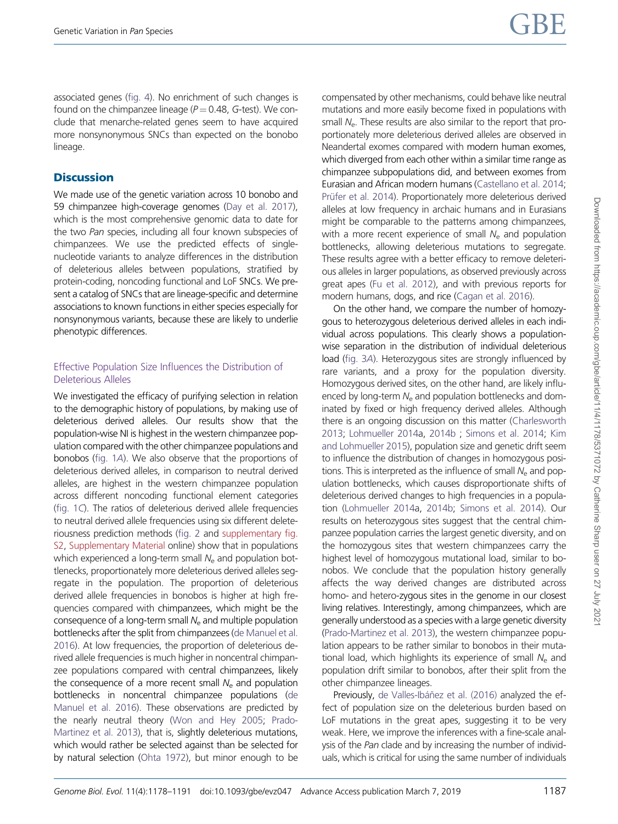associated genes [\(fig. 4](#page-8-0)). No enrichment of such changes is found on the chimpanzee lineage ( $P = 0.48$ , G-test). We conclude that menarche-related genes seem to have acquired more nonsynonymous SNCs than expected on the bonobo lineage.

# **Discussion**

We made use of the genetic variation across 10 bonobo and 59 chimpanzee high-coverage genomes [\(Day et al. 2017](#page-11-0)), which is the most comprehensive genomic data to date for the two Pan species, including all four known subspecies of chimpanzees. We use the predicted effects of singlenucleotide variants to analyze differences in the distribution of deleterious alleles between populations, stratified by protein-coding, noncoding functional and LoF SNCs. We present a catalog of SNCs that are lineage-specific and determine associations to known functions in either species especially for nonsynonymous variants, because these are likely to underlie phenotypic differences.

## Effective Population Size Influences the Distribution of Deleterious Alleles

We investigated the efficacy of purifying selection in relation to the demographic history of populations, by making use of deleterious derived alleles. Our results show that the population-wise NI is highest in the western chimpanzee population compared with the other chimpanzee populations and bonobos ([fig. 1](#page-4-0)A). We also observe that the proportions of deleterious derived alleles, in comparison to neutral derived alleles, are highest in the western chimpanzee population across different noncoding functional element categories [\(fig. 1](#page-4-0)C). The ratios of deleterious derived allele frequencies to neutral derived allele frequencies using six different deleteriousness prediction methods ([fig. 2](#page-5-0) and [supplementary fig.](https://academic.oup.com/gbe/article-lookup/doi/10.1093/gbe/evz047#supplementary-data) [S2](https://academic.oup.com/gbe/article-lookup/doi/10.1093/gbe/evz047#supplementary-data), [Supplementary Material](https://academic.oup.com/gbe/article-lookup/doi/10.1093/gbe/evz047#supplementary-data) online) show that in populations which experienced a long-term small  $N_e$  and population bottlenecks, proportionately more deleterious derived alleles segregate in the population. The proportion of deleterious derived allele frequencies in bonobos is higher at high frequencies compared with chimpanzees, which might be the consequence of a long-term small  $N_e$  and multiple population bottlenecks after the split from chimpanzees ([de Manuel et al.](#page-11-0) [2016](#page-11-0)). At low frequencies, the proportion of deleterious derived allele frequencies is much higher in noncentral chimpanzee populations compared with central chimpanzees, likely the consequence of a more recent small  $N_{e}$  and population bottlenecks in noncentral chimpanzee populations ([de](#page-11-0) [Manuel et al. 2016\)](#page-11-0). These observations are predicted by the nearly neutral theory [\(Won and Hey 2005](#page-13-0); [Prado-](#page-12-0)[Martinez et al. 2013\)](#page-12-0), that is, slightly deleterious mutations, which would rather be selected against than be selected for by natural selection ([Ohta 1972](#page-12-0)), but minor enough to be

compensated by other mechanisms, could behave like neutral mutations and more easily become fixed in populations with small  $N_e$ . These results are also similar to the report that proportionately more deleterious derived alleles are observed in Neandertal exomes compared with modern human exomes, which diverged from each other within a similar time range as chimpanzee subpopulations did, and between exomes from Eurasian and African modern humans ([Castellano et al. 2014](#page-11-0); Prüfer et al. 2014). Proportionately more deleterious derived alleles at low frequency in archaic humans and in Eurasians might be comparable to the patterns among chimpanzees, with a more recent experience of small  $N_e$  and population bottlenecks, allowing deleterious mutations to segregate. These results agree with a better efficacy to remove deleterious alleles in larger populations, as observed previously across great apes [\(Fu et al. 2012\)](#page-11-0), and with previous reports for modern humans, dogs, and rice [\(Cagan et al. 2016\)](#page-11-0).

On the other hand, we compare the number of homozygous to heterozygous deleterious derived alleles in each individual across populations. This clearly shows a populationwise separation in the distribution of individual deleterious load ([fig. 3](#page-6-0)A). Heterozygous sites are strongly influenced by rare variants, and a proxy for the population diversity. Homozygous derived sites, on the other hand, are likely influenced by long-term  $N_e$  and population bottlenecks and dominated by fixed or high frequency derived alleles. Although there is an ongoing discussion on this matter [\(Charlesworth](#page-11-0) [2013;](#page-11-0) [Lohmueller 2014](#page-12-0)a, [2014b](#page-12-0) ; [Simons et al. 2014](#page-12-0); [Kim](#page-12-0) [and Lohmueller 2015\)](#page-12-0), population size and genetic drift seem to influence the distribution of changes in homozygous positions. This is interpreted as the influence of small  $N_e$  and population bottlenecks, which causes disproportionate shifts of deleterious derived changes to high frequencies in a population [\(Lohmueller 2014a](#page-12-0), [2014b;](#page-12-0) [Simons et al. 2014\)](#page-12-0). Our results on heterozygous sites suggest that the central chimpanzee population carries the largest genetic diversity, and on the homozygous sites that western chimpanzees carry the highest level of homozygous mutational load, similar to bonobos. We conclude that the population history generally affects the way derived changes are distributed across homo- and hetero-zygous sites in the genome in our closest living relatives. Interestingly, among chimpanzees, which are generally understood as a species with a large genetic diversity [\(Prado-Martinez et al. 2013\)](#page-12-0), the western chimpanzee population appears to be rather similar to bonobos in their mutational load, which highlights its experience of small  $N_e$  and population drift similar to bonobos, after their split from the other chimpanzee lineages.

Previously, de Valles-Ibáñez et al. (2016) analyzed the effect of population size on the deleterious burden based on LoF mutations in the great apes, suggesting it to be very weak. Here, we improve the inferences with a fine-scale analysis of the Pan clade and by increasing the number of individuals, which is critical for using the same number of individuals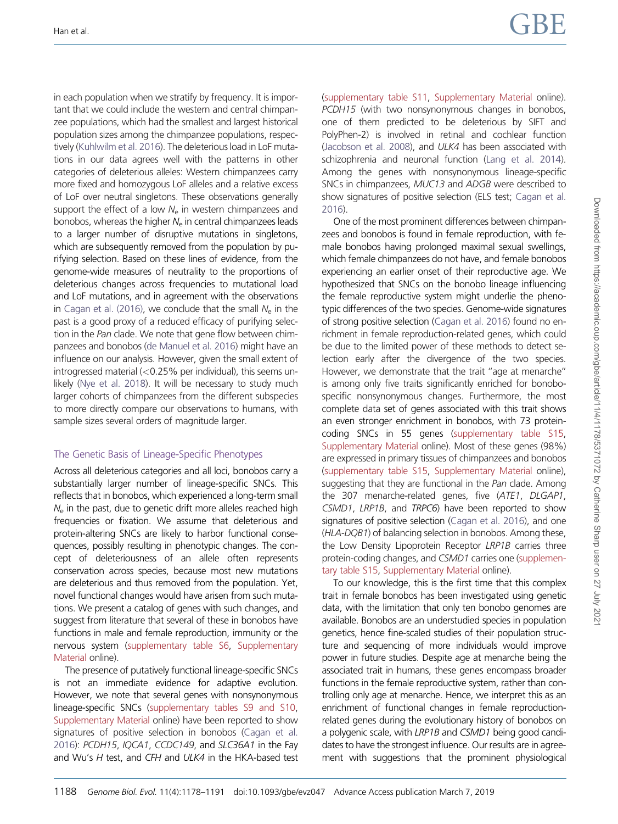in each population when we stratify by frequency. It is important that we could include the western and central chimpanzee populations, which had the smallest and largest historical population sizes among the chimpanzee populations, respectively ([Kuhlwilm et al. 2016](#page-12-0)). The deleterious load in LoF mutations in our data agrees well with the patterns in other categories of deleterious alleles: Western chimpanzees carry more fixed and homozygous LoF alleles and a relative excess of LoF over neutral singletons. These observations generally support the effect of a low  $N<sub>e</sub>$  in western chimpanzees and bonobos, whereas the higher  $N_e$  in central chimpanzees leads to a larger number of disruptive mutations in singletons, which are subsequently removed from the population by purifying selection. Based on these lines of evidence, from the genome-wide measures of neutrality to the proportions of deleterious changes across frequencies to mutational load and LoF mutations, and in agreement with the observations in [Cagan et al. \(2016\),](#page-11-0) we conclude that the small  $N_e$  in the past is a good proxy of a reduced efficacy of purifying selection in the Pan clade. We note that gene flow between chimpanzees and bonobos [\(de Manuel et al. 2016\)](#page-11-0) might have an influence on our analysis. However, given the small extent of introgressed material (<0.25% per individual), this seems unlikely [\(Nye et al. 2018](#page-12-0)). It will be necessary to study much larger cohorts of chimpanzees from the different subspecies to more directly compare our observations to humans, with sample sizes several orders of magnitude larger.

## The Genetic Basis of Lineage-Specific Phenotypes

Across all deleterious categories and all loci, bonobos carry a substantially larger number of lineage-specific SNCs. This reflects that in bonobos, which experienced a long-term small  $N_e$  in the past, due to genetic drift more alleles reached high frequencies or fixation. We assume that deleterious and protein-altering SNCs are likely to harbor functional consequences, possibly resulting in phenotypic changes. The concept of deleteriousness of an allele often represents conservation across species, because most new mutations are deleterious and thus removed from the population. Yet, novel functional changes would have arisen from such mutations. We present a catalog of genes with such changes, and suggest from literature that several of these in bonobos have functions in male and female reproduction, immunity or the nervous system [\(supplementary table S6,](https://academic.oup.com/gbe/article-lookup/doi/10.1093/gbe/evz047#supplementary-data) [Supplementary](https://academic.oup.com/gbe/article-lookup/doi/10.1093/gbe/evz047#supplementary-data) [Material](https://academic.oup.com/gbe/article-lookup/doi/10.1093/gbe/evz047#supplementary-data) online).

The presence of putatively functional lineage-specific SNCs is not an immediate evidence for adaptive evolution. However, we note that several genes with nonsynonymous lineage-specific SNCs [\(supplementary tables S9 and S10,](https://academic.oup.com/gbe/article-lookup/doi/10.1093/gbe/evz047#supplementary-data) [Supplementary Material](https://academic.oup.com/gbe/article-lookup/doi/10.1093/gbe/evz047#supplementary-data) online) have been reported to show signatures of positive selection in bonobos [\(Cagan et al.](#page-11-0) [2016\)](#page-11-0): PCDH15, IQCA1, CCDC149, and SLC36A1 in the Fay and Wu's H test, and CFH and ULK4 in the HKA-based test [\(supplementary table S11](https://academic.oup.com/gbe/article-lookup/doi/10.1093/gbe/evz047#supplementary-data), [Supplementary Material](https://academic.oup.com/gbe/article-lookup/doi/10.1093/gbe/evz047#supplementary-data) online). PCDH15 (with two nonsynonymous changes in bonobos, one of them predicted to be deleterious by SIFT and PolyPhen-2) is involved in retinal and cochlear function [\(Jacobson et al. 2008](#page-12-0)), and ULK4 has been associated with schizophrenia and neuronal function ([Lang et al. 2014\)](#page-12-0). Among the genes with nonsynonymous lineage-specific SNCs in chimpanzees, MUC13 and ADGB were described to show signatures of positive selection (ELS test; [Cagan et al.](#page-11-0) [2016\)](#page-11-0).

One of the most prominent differences between chimpanzees and bonobos is found in female reproduction, with female bonobos having prolonged maximal sexual swellings, which female chimpanzees do not have, and female bonobos experiencing an earlier onset of their reproductive age. We hypothesized that SNCs on the bonobo lineage influencing the female reproductive system might underlie the phenotypic differences of the two species. Genome-wide signatures of strong positive selection [\(Cagan et al. 2016](#page-11-0)) found no enrichment in female reproduction-related genes, which could be due to the limited power of these methods to detect selection early after the divergence of the two species. However, we demonstrate that the trait ''age at menarche'' is among only five traits significantly enriched for bonobospecific nonsynonymous changes. Furthermore, the most complete data set of genes associated with this trait shows an even stronger enrichment in bonobos, with 73 proteincoding SNCs in 55 genes [\(supplementary table S15](https://academic.oup.com/gbe/article-lookup/doi/10.1093/gbe/evz047#supplementary-data), [Supplementary Material](https://academic.oup.com/gbe/article-lookup/doi/10.1093/gbe/evz047#supplementary-data) online). Most of these genes (98%) are expressed in primary tissues of chimpanzees and bonobos [\(supplementary table S15](https://academic.oup.com/gbe/article-lookup/doi/10.1093/gbe/evz047#supplementary-data), [Supplementary Material](https://academic.oup.com/gbe/article-lookup/doi/10.1093/gbe/evz047#supplementary-data) online), suggesting that they are functional in the Pan clade. Among the 307 menarche-related genes, five (ATE1, DLGAP1, CSMD1, LRP1B, and TRPC6) have been reported to show signatures of positive selection [\(Cagan et al. 2016](#page-11-0)), and one (HLA-DQB1) of balancing selection in bonobos. Among these, the Low Density Lipoprotein Receptor LRP1B carries three protein-coding changes, and CSMD1 carries one [\(supplemen](https://academic.oup.com/gbe/article-lookup/doi/10.1093/gbe/evz047#supplementary-data)[tary table S15](https://academic.oup.com/gbe/article-lookup/doi/10.1093/gbe/evz047#supplementary-data), [Supplementary Material](https://academic.oup.com/gbe/article-lookup/doi/10.1093/gbe/evz047#supplementary-data) online).

To our knowledge, this is the first time that this complex trait in female bonobos has been investigated using genetic data, with the limitation that only ten bonobo genomes are available. Bonobos are an understudied species in population genetics, hence fine-scaled studies of their population structure and sequencing of more individuals would improve power in future studies. Despite age at menarche being the associated trait in humans, these genes encompass broader functions in the female reproductive system, rather than controlling only age at menarche. Hence, we interpret this as an enrichment of functional changes in female reproductionrelated genes during the evolutionary history of bonobos on a polygenic scale, with LRP1B and CSMD1 being good candidates to have the strongest influence. Our results are in agreement with suggestions that the prominent physiological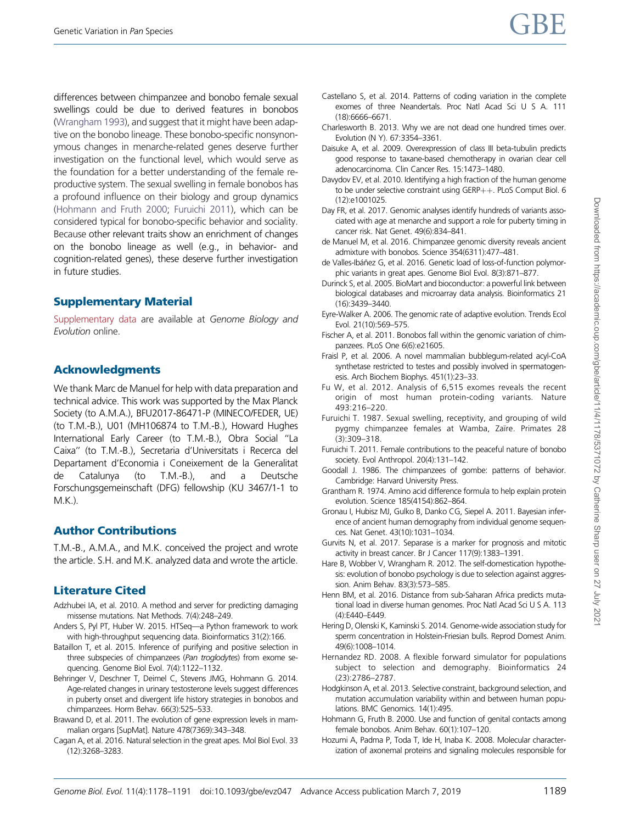<span id="page-11-0"></span>differences between chimpanzee and bonobo female sexual swellings could be due to derived features in bonobos [\(Wrangham 1993](#page-13-0)), and suggest that it might have been adaptive on the bonobo lineage. These bonobo-specific nonsynonymous changes in menarche-related genes deserve further investigation on the functional level, which would serve as the foundation for a better understanding of the female reproductive system. The sexual swelling in female bonobos has a profound influence on their biology and group dynamics (Hohmann and Fruth 2000; Furuichi 2011), which can be considered typical for bonobo-specific behavior and sociality. Because other relevant traits show an enrichment of changes on the bonobo lineage as well (e.g., in behavior- and cognition-related genes), these deserve further investigation in future studies.

# Supplementary Material

[Supplementary data](https://academic.oup.com/gbe/article-lookup/doi/10.1093/gbe/evz047#supplementary-data) are available at Genome Biology and Evolution online.

# Acknowledgments

We thank Marc de Manuel for help with data preparation and technical advice. This work was supported by the Max Planck Society (to A.M.A.), BFU2017-86471-P (MINECO/FEDER, UE) (to T.M.-B.), U01 (MH106874 to T.M.-B.), Howard Hughes International Early Career (to T.M.-B.), Obra Social ''La Caixa'' (to T.M.-B.), Secretaria d'Universitats i Recerca del Departament d'Economia i Coneixement de la Generalitat de Catalunya (to T.M.-B.), and a Deutsche Forschungsgemeinschaft (DFG) fellowship (KU 3467/1-1 to M.K.).

# Author Contributions

T.M.-B., A.M.A., and M.K. conceived the project and wrote the article. S.H. and M.K. analyzed data and wrote the article.

# Literature Cited

- Adzhubei IA, et al. 2010. A method and server for predicting damaging missense mutations. Nat Methods. 7(4):248–249.
- Anders S, Pyl PT, Huber W. 2015. HTSeq—a Python framework to work with high-throughput sequencing data. Bioinformatics 31(2):166.
- Bataillon T, et al. 2015. Inference of purifying and positive selection in three subspecies of chimpanzees (Pan troglodytes) from exome sequencing. Genome Biol Evol. 7(4):1122–1132.
- Behringer V, Deschner T, Deimel C, Stevens JMG, Hohmann G. 2014. Age-related changes in urinary testosterone levels suggest differences in puberty onset and divergent life history strategies in bonobos and chimpanzees. Horm Behav. 66(3):525–533.
- Brawand D, et al. 2011. The evolution of gene expression levels in mammalian organs [SupMat]. Nature 478(7369):343–348.
- Cagan A, et al. 2016. Natural selection in the great apes. Mol Biol Evol. 33 (12):3268–3283.
- Castellano S, et al. 2014. Patterns of coding variation in the complete exomes of three Neandertals. Proc Natl Acad Sci U S A. 111 (18):6666–6671.
- Charlesworth B. 2013. Why we are not dead one hundred times over. Evolution (N Y). 67:3354–3361.
- Daisuke A, et al. 2009. Overexpression of class III beta-tubulin predicts good response to taxane-based chemotherapy in ovarian clear cell adenocarcinoma. Clin Cancer Res. 15:1473–1480.
- Davydov EV, et al. 2010. Identifying a high fraction of the human genome to be under selective constraint using  $GERP++$ . PLoS Comput Biol. 6 (12):e1001025.
- Day FR, et al. 2017. Genomic analyses identify hundreds of variants associated with age at menarche and support a role for puberty timing in cancer risk. Nat Genet. 49(6):834–841.
- de Manuel M, et al. 2016. Chimpanzee genomic diversity reveals ancient admixture with bonobos. Science 354(6311):477–481.
- de Valles-Ibáñez G, et al. 2016. Genetic load of loss-of-function polymorphic variants in great apes. Genome Biol Evol. 8(3):871–877.
- Durinck S, et al. 2005. BioMart and bioconductor: a powerful link between biological databases and microarray data analysis. Bioinformatics 21 (16):3439–3440.
- Eyre-Walker A. 2006. The genomic rate of adaptive evolution. Trends Ecol Evol. 21(10):569–575.
- Fischer A, et al. 2011. Bonobos fall within the genomic variation of chimpanzees. PLoS One 6(6):e21605.
- Fraisl P, et al. 2006. A novel mammalian bubblegum-related acyl-CoA synthetase restricted to testes and possibly involved in spermatogenesis. Arch Biochem Biophys. 451(1):23–33.
- Fu W, et al. 2012. Analysis of 6,515 exomes reveals the recent origin of most human protein-coding variants. Nature 493:216–220.
- Furuichi T. 1987. Sexual swelling, receptivity, and grouping of wild pygmy chimpanzee females at Wamba, Zaïre. Primates 28 (3):309–318.
- Furuichi T. 2011. Female contributions to the peaceful nature of bonobo society. Evol Anthropol. 20(4):131–142.
- Goodall J. 1986. The chimpanzees of gombe: patterns of behavior. Cambridge: Harvard University Press.
- Grantham R. 1974. Amino acid difference formula to help explain protein evolution. Science 185(4154):862–864.
- Gronau I, Hubisz MJ, Gulko B, Danko CG, Siepel A. 2011. Bayesian inference of ancient human demography from individual genome sequences. Nat Genet. 43(10):1031–1034.
- Gurvits N, et al. 2017. Separase is a marker for prognosis and mitotic activity in breast cancer. Br J Cancer 117(9):1383–1391.
- Hare B, Wobber V, Wrangham R. 2012. The self-domestication hypothesis: evolution of bonobo psychology is due to selection against aggression. Anim Behav. 83(3):573–585.
- Henn BM, et al. 2016. Distance from sub-Saharan Africa predicts mutational load in diverse human genomes. Proc Natl Acad Sci U S A. 113 (4):E440–E449.
- Hering D, Olenski K, Kaminski S. 2014. Genome-wide association study for sperm concentration in Holstein-Friesian bulls. Reprod Domest Anim. 49(6):1008–1014.
- Hernandez RD. 2008. A flexible forward simulator for populations subject to selection and demography. Bioinformatics 24 (23):2786–2787.
- Hodgkinson A, et al. 2013. Selective constraint, background selection, and mutation accumulation variability within and between human populations. BMC Genomics. 14(1):495.
- Hohmann G, Fruth B. 2000. Use and function of genital contacts among female bonobos. Anim Behav. 60(1):107–120.
- Hozumi A, Padma P, Toda T, Ide H, Inaba K. 2008. Molecular characterization of axonemal proteins and signaling molecules responsible for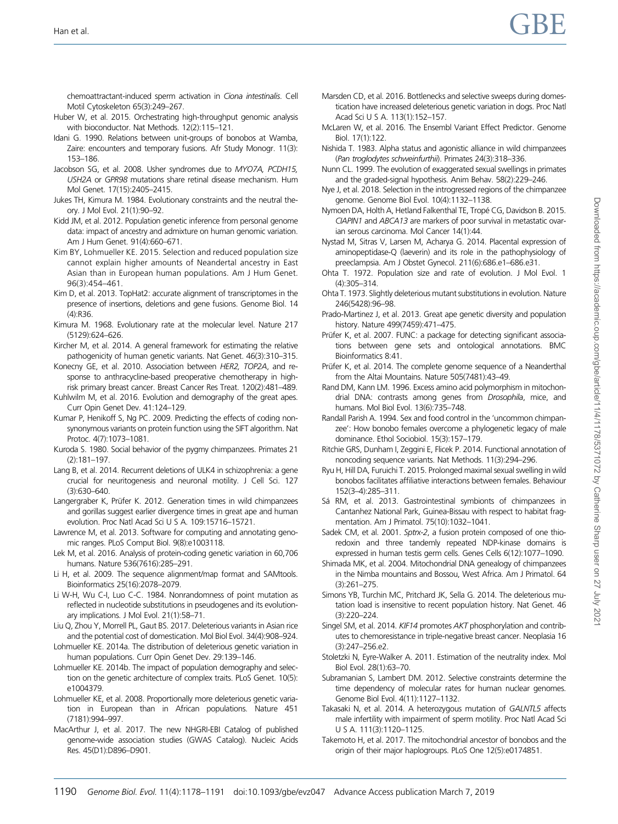<span id="page-12-0"></span>chemoattractant-induced sperm activation in Ciona intestinalis. Cell Motil Cytoskeleton 65(3):249–267.

- Huber W, et al. 2015. Orchestrating high-throughput genomic analysis with bioconductor. Nat Methods. 12(2):115–121.
- Idani G. 1990. Relations between unit-groups of bonobos at Wamba Zaire: encounters and temporary fusions. Afr Study Monogr. 11(3): 153–186.
- Jacobson SG, et al. 2008. Usher syndromes due to MYO7A, PCDH15, USH2A or GPR98 mutations share retinal disease mechanism. Hum Mol Genet. 17(15):2405–2415.
- Jukes TH, Kimura M. 1984. Evolutionary constraints and the neutral theory. J Mol Evol. 21(1):90–92.
- Kidd JM, et al. 2012. Population genetic inference from personal genome data: impact of ancestry and admixture on human genomic variation. Am J Hum Genet. 91(4):660–671.
- Kim BY, Lohmueller KE. 2015. Selection and reduced population size cannot explain higher amounts of Neandertal ancestry in East Asian than in European human populations. Am J Hum Genet. 96(3):454–461.
- Kim D, et al. 2013. TopHat2: accurate alignment of transcriptomes in the presence of insertions, deletions and gene fusions. Genome Biol. 14  $(4)$  $R36$
- Kimura M. 1968. Evolutionary rate at the molecular level. Nature 217 (5129):624–626.
- Kircher M, et al. 2014. A general framework for estimating the relative pathogenicity of human genetic variants. Nat Genet. 46(3):310–315.
- Konecny GE, et al. 2010. Association between HER2, TOP2A, and response to anthracycline-based preoperative chemotherapy in highrisk primary breast cancer. Breast Cancer Res Treat. 120(2):481–489.
- Kuhlwilm M, et al. 2016. Evolution and demography of the great apes. Curr Opin Genet Dev. 41:124–129.
- Kumar P, Henikoff S, Ng PC. 2009. Predicting the effects of coding nonsynonymous variants on protein function using the SIFT algorithm. Nat Protoc. 4(7):1073–1081.
- Kuroda S. 1980. Social behavior of the pygmy chimpanzees. Primates 21 (2):181–197.
- Lang B, et al. 2014. Recurrent deletions of ULK4 in schizophrenia: a gene crucial for neuritogenesis and neuronal motility. J Cell Sci. 127 (3):630–640.
- Langergraber K, Prüfer K. 2012. Generation times in wild chimpanzees and gorillas suggest earlier divergence times in great ape and human evolution. Proc Natl Acad Sci U S A. 109:15716–15721.
- Lawrence M, et al. 2013. Software for computing and annotating genomic ranges. PLoS Comput Biol. 9(8):e1003118.
- Lek M, et al. 2016. Analysis of protein-coding genetic variation in 60,706 humans. Nature 536(7616):285–291.
- Li H, et al. 2009. The sequence alignment/map format and SAMtools. Bioinformatics 25(16):2078–2079.
- Li W-H, Wu C-I, Luo C-C. 1984. Nonrandomness of point mutation as reflected in nucleotide substitutions in pseudogenes and its evolutionary implications. J Mol Evol. 21(1):58–71.
- Liu Q, Zhou Y, Morrell PL, Gaut BS. 2017. Deleterious variants in Asian rice and the potential cost of domestication. Mol Biol Evol. 34(4):908–924.
- Lohmueller KE. 2014a. The distribution of deleterious genetic variation in human populations. Curr Opin Genet Dev. 29:139-146.
- Lohmueller KE. 2014b. The impact of population demography and selection on the genetic architecture of complex traits. PLoS Genet. 10(5): e1004379.
- Lohmueller KE, et al. 2008. Proportionally more deleterious genetic variation in European than in African populations. Nature 451 (7181):994–997.
- MacArthur J, et al. 2017. The new NHGRI-EBI Catalog of published genome-wide association studies (GWAS Catalog). Nucleic Acids Res. 45(D1):D896–D901.
- Marsden CD, et al. 2016. Bottlenecks and selective sweeps during domestication have increased deleterious genetic variation in dogs. Proc Natl Acad Sci U S A. 113(1):152–157.
- McLaren W, et al. 2016. The Ensembl Variant Effect Predictor. Genome Biol. 17(1):122.
- Nishida T. 1983. Alpha status and agonistic alliance in wild chimpanzees (Pan troglodytes schweinfurthii). Primates 24(3):318–336.
- Nunn CL. 1999. The evolution of exaggerated sexual swellings in primates and the graded-signal hypothesis. Anim Behav. 58(2):229–246.
- Nye J, et al. 2018. Selection in the introgressed regions of the chimpanzee genome. Genome Biol Evol. 10(4):1132–1138.
- Nymoen DA, Holth A, Hetland Falkenthal TE, Tropé CG, Davidson B. 2015. CIAPIN1 and ABCA13 are markers of poor survival in metastatic ovarian serous carcinoma. Mol Cancer 14(1):44.
- Nystad M, Sitras V, Larsen M, Acharya G. 2014. Placental expression of aminopeptidase-Q (laeverin) and its role in the pathophysiology of preeclampsia. Am J Obstet Gynecol. 211(6):686.e1–686.e31.
- Ohta T. 1972. Population size and rate of evolution. J Mol Evol. 1 (4):305–314.
- Ohta T. 1973. Slightly deleterious mutant substitutions in evolution. Nature 246(5428):96–98.
- Prado-Martinez J, et al. 2013. Great ape genetic diversity and population history. Nature 499(7459):471–475.
- Prüfer K, et al. 2007. FUNC: a package for detecting significant associations between gene sets and ontological annotations. BMC Bioinformatics 8:41.
- Prüfer K, et al. 2014. The complete genome sequence of a Neanderthal from the Altai Mountains. Nature 505(7481):43–49.
- Rand DM, Kann LM. 1996. Excess amino acid polymorphism in mitochondrial DNA: contrasts among genes from Drosophila, mice, and humans. Mol Biol Evol. 13(6):735–748.
- Randall Parish A. 1994. Sex and food control in the 'uncommon chimpanzee': How bonobo females overcome a phylogenetic legacy of male dominance. Ethol Sociobiol. 15(3):157–179.
- Ritchie GRS, Dunham I, Zeggini E, Flicek P. 2014. Functional annotation of noncoding sequence variants. Nat Methods. 11(3):294–296.
- Ryu H, Hill DA, Furuichi T. 2015. Prolonged maximal sexual swelling in wild bonobos facilitates affiliative interactions between females. Behaviour 152(3–4):285–311.
- Sá RM, et al. 2013. Gastrointestinal symbionts of chimpanzees in Cantanhez National Park, Guinea-Bissau with respect to habitat fragmentation. Am J Primatol. 75(10):1032–1041.
- Sadek CM, et al. 2001. Sptrx-2, a fusion protein composed of one thioredoxin and three tandemly repeated NDP-kinase domains is expressed in human testis germ cells. Genes Cells 6(12):1077–1090.
- Shimada MK, et al. 2004. Mitochondrial DNA genealogy of chimpanzees in the Nimba mountains and Bossou, West Africa. Am J Primatol. 64 (3):261–275.
- Simons YB, Turchin MC, Pritchard JK, Sella G. 2014. The deleterious mutation load is insensitive to recent population history. Nat Genet. 46 (3):220–224.
- Singel SM, et al. 2014. KIF14 promotes AKT phosphorylation and contributes to chemoresistance in triple-negative breast cancer. Neoplasia 16 (3):247–256.e2.
- Stoletzki N, Eyre-Walker A. 2011. Estimation of the neutrality index. Mol Biol Evol. 28(1):63–70.
- Subramanian S, Lambert DM. 2012. Selective constraints determine the time dependency of molecular rates for human nuclear genomes. Genome Biol Evol. 4(11):1127–1132.
- Takasaki N, et al. 2014. A heterozygous mutation of GALNTL5 affects male infertility with impairment of sperm motility. Proc Natl Acad Sci U S A. 111(3):1120–1125.
- Takemoto H, et al. 2017. The mitochondrial ancestor of bonobos and the origin of their major haplogroups. PLoS One 12(5):e0174851.